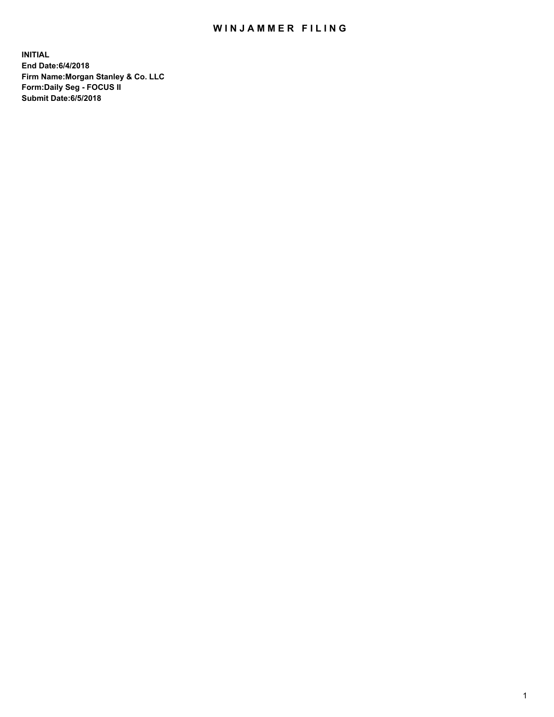## WIN JAMMER FILING

**INITIAL End Date:6/4/2018 Firm Name:Morgan Stanley & Co. LLC Form:Daily Seg - FOCUS II Submit Date:6/5/2018**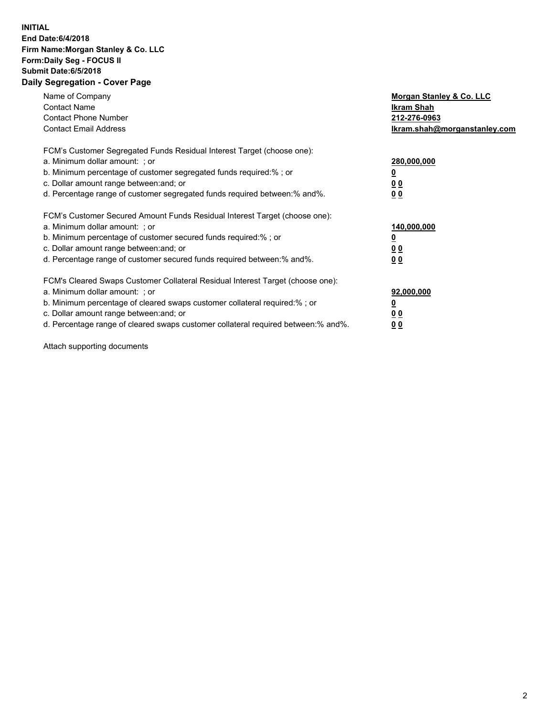## **INITIAL End Date:6/4/2018 Firm Name:Morgan Stanley & Co. LLC Form:Daily Seg - FOCUS II Submit Date:6/5/2018 Daily Segregation - Cover Page**

| Name of Company<br><b>Contact Name</b><br><b>Contact Phone Number</b><br><b>Contact Email Address</b>                                                                                                                                                                                                                         | Morgan Stanley & Co. LLC<br><b>Ikram Shah</b><br>212-276-0963<br>Ikram.shah@morganstanley.com |
|-------------------------------------------------------------------------------------------------------------------------------------------------------------------------------------------------------------------------------------------------------------------------------------------------------------------------------|-----------------------------------------------------------------------------------------------|
| FCM's Customer Segregated Funds Residual Interest Target (choose one):<br>a. Minimum dollar amount: ; or<br>b. Minimum percentage of customer segregated funds required:%; or<br>c. Dollar amount range between: and; or<br>d. Percentage range of customer segregated funds required between:% and%.                         | 280,000,000<br><u>0</u><br>0 <sub>0</sub><br>0 <sub>0</sub>                                   |
| FCM's Customer Secured Amount Funds Residual Interest Target (choose one):<br>a. Minimum dollar amount: ; or<br>b. Minimum percentage of customer secured funds required:%; or<br>c. Dollar amount range between: and; or<br>d. Percentage range of customer secured funds required between:% and%.                           | 140,000,000<br><u>0</u><br>0 <sub>0</sub><br>0 <sub>0</sub>                                   |
| FCM's Cleared Swaps Customer Collateral Residual Interest Target (choose one):<br>a. Minimum dollar amount: ; or<br>b. Minimum percentage of cleared swaps customer collateral required:%; or<br>c. Dollar amount range between: and; or<br>d. Percentage range of cleared swaps customer collateral required between:% and%. | 92,000,000<br>0 <sub>0</sub><br>0 <sub>0</sub>                                                |

Attach supporting documents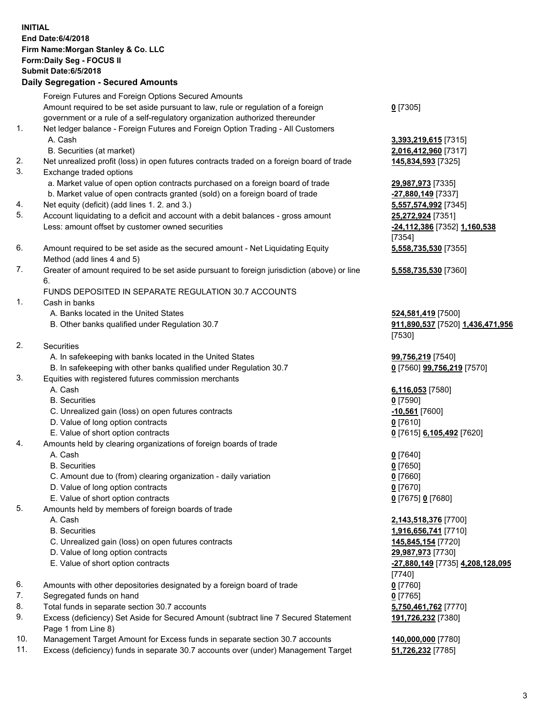## **INITIAL End Date:6/4/2018 Firm Name:Morgan Stanley & Co. LLC Form:Daily Seg - FOCUS II Submit Date:6/5/2018 Daily Segregation - Secured Amounts** Foreign Futures and Foreign Options Secured Amounts Amount required to be set aside pursuant to law, rule or regulation of a foreign government or a rule of a self-regulatory organization authorized thereunder **0** [7305] 1. Net ledger balance - Foreign Futures and Foreign Option Trading - All Customers A. Cash **3,393,219,615** [7315] B. Securities (at market) **2,016,412,960** [7317] 2. Net unrealized profit (loss) in open futures contracts traded on a foreign board of trade **145,834,593** [7325] 3. Exchange traded options a. Market value of open option contracts purchased on a foreign board of trade **29,987,973** [7335] b. Market value of open contracts granted (sold) on a foreign board of trade **-27,880,149** [7337] 4. Net equity (deficit) (add lines 1. 2. and 3.) **5,557,574,992** [7345] 5. Account liquidating to a deficit and account with a debit balances - gross amount **25,272,924** [7351] Less: amount offset by customer owned securities **-24,112,386** [7352] **1,160,538** [7354] 6. Amount required to be set aside as the secured amount - Net Liquidating Equity Method (add lines 4 and 5) **5,558,735,530** [7355] 7. Greater of amount required to be set aside pursuant to foreign jurisdiction (above) or line 6. **5,558,735,530** [7360] FUNDS DEPOSITED IN SEPARATE REGULATION 30.7 ACCOUNTS 1. Cash in banks A. Banks located in the United States **524,581,419** [7500] B. Other banks qualified under Regulation 30.7 **911,890,537** [7520] **1,436,471,956** [7530] 2. Securities A. In safekeeping with banks located in the United States **99,756,219** [7540] B. In safekeeping with other banks qualified under Regulation 30.7 **0** [7560] **99,756,219** [7570] 3. Equities with registered futures commission merchants A. Cash **6,116,053** [7580] B. Securities **0** [7590] C. Unrealized gain (loss) on open futures contracts **-10,561** [7600] D. Value of long option contracts **0** [7610] E. Value of short option contracts **0** [7615] **6,105,492** [7620] 4. Amounts held by clearing organizations of foreign boards of trade A. Cash **0** [7640] B. Securities **0** [7650] C. Amount due to (from) clearing organization - daily variation **0** [7660] D. Value of long option contracts **0** [7670] E. Value of short option contracts **0** [7675] **0** [7680] 5. Amounts held by members of foreign boards of trade A. Cash **2,143,518,376** [7700] B. Securities **1,916,656,741** [7710] C. Unrealized gain (loss) on open futures contracts **145,845,154** [7720] D. Value of long option contracts **29,987,973** [7730] E. Value of short option contracts **-27,880,149** [7735] **4,208,128,095** [7740] 6. Amounts with other depositories designated by a foreign board of trade **0** [7760] 7. Segregated funds on hand **0** [7765] 8. Total funds in separate section 30.7 accounts **5,750,461,762** [7770] 9. Excess (deficiency) Set Aside for Secured Amount (subtract line 7 Secured Statement Page 1 from Line 8) **191,726,232** [7380]

- 10. Management Target Amount for Excess funds in separate section 30.7 accounts **140,000,000** [7780]
- 11. Excess (deficiency) funds in separate 30.7 accounts over (under) Management Target **51,726,232** [7785]

3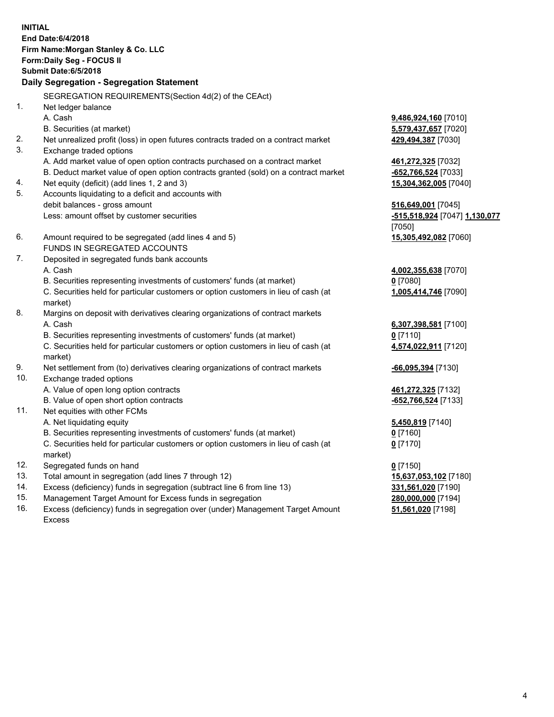**INITIAL End Date:6/4/2018 Firm Name:Morgan Stanley & Co. LLC Form:Daily Seg - FOCUS II Submit Date:6/5/2018 Daily Segregation - Segregation Statement** SEGREGATION REQUIREMENTS(Section 4d(2) of the CEAct) 1. Net ledger balance A. Cash **9,486,924,160** [7010] B. Securities (at market) **5,579,437,657** [7020] 2. Net unrealized profit (loss) in open futures contracts traded on a contract market **429,494,387** [7030] 3. Exchange traded options A. Add market value of open option contracts purchased on a contract market **461,272,325** [7032] B. Deduct market value of open option contracts granted (sold) on a contract market **-652,766,524** [7033] 4. Net equity (deficit) (add lines 1, 2 and 3) **15,304,362,005** [7040] 5. Accounts liquidating to a deficit and accounts with debit balances - gross amount **516,649,001** [7045] Less: amount offset by customer securities **-515,518,924** [7047] **1,130,077** [7050] 6. Amount required to be segregated (add lines 4 and 5) **15,305,492,082** [7060] FUNDS IN SEGREGATED ACCOUNTS 7. Deposited in segregated funds bank accounts A. Cash **4,002,355,638** [7070] B. Securities representing investments of customers' funds (at market) **0** [7080] C. Securities held for particular customers or option customers in lieu of cash (at market) **1,005,414,746** [7090] 8. Margins on deposit with derivatives clearing organizations of contract markets A. Cash **6,307,398,581** [7100] B. Securities representing investments of customers' funds (at market) **0** [7110] C. Securities held for particular customers or option customers in lieu of cash (at market) **4,574,022,911** [7120] 9. Net settlement from (to) derivatives clearing organizations of contract markets **-66,095,394** [7130] 10. Exchange traded options A. Value of open long option contracts **461,272,325** [7132] B. Value of open short option contracts **and the set of open short option contracts -652,766,524** [7133] 11. Net equities with other FCMs A. Net liquidating equity **5,450,819** [7140] B. Securities representing investments of customers' funds (at market) **0** [7160] C. Securities held for particular customers or option customers in lieu of cash (at market) **0** [7170] 12. Segregated funds on hand **0** [7150] 13. Total amount in segregation (add lines 7 through 12) **15,637,053,102** [7180] 14. Excess (deficiency) funds in segregation (subtract line 6 from line 13) **331,561,020** [7190] 15. Management Target Amount for Excess funds in segregation **280,000,000** [7194]

- 16. Excess (deficiency) funds in segregation over (under) Management Target Amount
- Excess

**51,561,020** [7198]